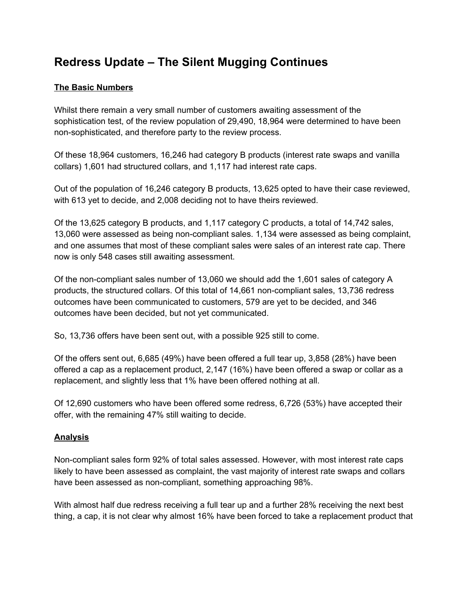## **Redress Update – The Silent Mugging Continues**

## **The Basic Numbers**

Whilst there remain a very small number of customers awaiting assessment of the sophistication test, of the review population of 29,490, 18,964 were determined to have been non-sophisticated, and therefore party to the review process.

Of these 18,964 customers, 16,246 had category B products (interest rate swaps and vanilla collars) 1,601 had structured collars, and 1,117 had interest rate caps.

Out of the population of 16,246 category B products, 13,625 opted to have their case reviewed, with 613 yet to decide, and 2,008 deciding not to have theirs reviewed.

Of the 13,625 category B products, and 1,117 category C products, a total of 14,742 sales, 13,060 were assessed as being non-compliant sales. 1,134 were assessed as being complaint, and one assumes that most of these compliant sales were sales of an interest rate cap. There now is only 548 cases still awaiting assessment.

Of the non-compliant sales number of 13,060 we should add the 1,601 sales of category A products, the structured collars. Of this total of 14,661 non-compliant sales, 13,736 redress outcomes have been communicated to customers, 579 are yet to be decided, and 346 outcomes have been decided, but not yet communicated.

So, 13,736 offers have been sent out, with a possible 925 still to come.

Of the offers sent out, 6,685 (49%) have been offered a full tear up, 3,858 (28%) have been offered a cap as a replacement product, 2,147 (16%) have been offered a swap or collar as a replacement, and slightly less that 1% have been offered nothing at all.

Of 12,690 customers who have been offered some redress, 6,726 (53%) have accepted their offer, with the remaining 47% still waiting to decide.

## **Analysis**

Non-compliant sales form 92% of total sales assessed. However, with most interest rate caps likely to have been assessed as complaint, the vast majority of interest rate swaps and collars have been assessed as non-compliant, something approaching 98%.

With almost half due redress receiving a full tear up and a further 28% receiving the next best thing, a cap, it is not clear why almost 16% have been forced to take a replacement product that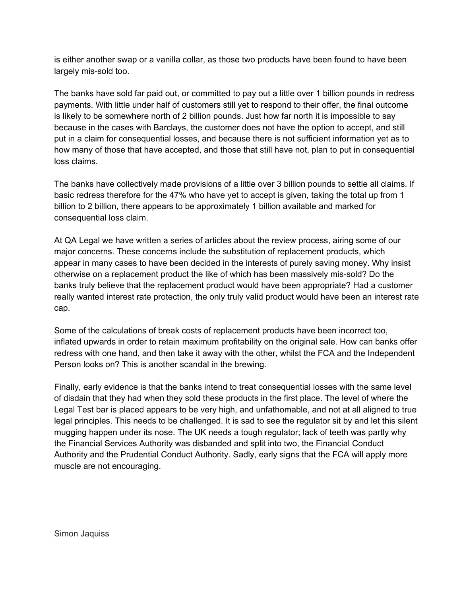is either another swap or a vanilla collar, as those two products have been found to have been largely mis-sold too.

The banks have sold far paid out, or committed to pay out a little over 1 billion pounds in redress payments. With little under half of customers still yet to respond to their offer, the final outcome is likely to be somewhere north of 2 billion pounds. Just how far north it is impossible to say because in the cases with Barclays, the customer does not have the option to accept, and still put in a claim for consequential losses, and because there is not sufficient information yet as to how many of those that have accepted, and those that still have not, plan to put in consequential loss claims.

The banks have collectively made provisions of a little over 3 billion pounds to settle all claims. If basic redress therefore for the 47% who have yet to accept is given, taking the total up from 1 billion to 2 billion, there appears to be approximately 1 billion available and marked for consequential loss claim.

At QA Legal we have written a series of articles about the review process, airing some of our major concerns. These concerns include the substitution of replacement products, which appear in many cases to have been decided in the interests of purely saving money. Why insist otherwise on a replacement product the like of which has been massively mis-sold? Do the banks truly believe that the replacement product would have been appropriate? Had a customer really wanted interest rate protection, the only truly valid product would have been an interest rate cap.

Some of the calculations of break costs of replacement products have been incorrect too, inflated upwards in order to retain maximum profitability on the original sale. How can banks offer redress with one hand, and then take it away with the other, whilst the FCA and the Independent Person looks on? This is another scandal in the brewing.

Finally, early evidence is that the banks intend to treat consequential losses with the same level of disdain that they had when they sold these products in the first place. The level of where the Legal Test bar is placed appears to be very high, and unfathomable, and not at all aligned to true legal principles. This needs to be challenged. It is sad to see the regulator sit by and let this silent mugging happen under its nose. The UK needs a tough regulator; lack of teeth was partly why the Financial Services Authority was disbanded and split into two, the Financial Conduct Authority and the Prudential Conduct Authority. Sadly, early signs that the FCA will apply more muscle are not encouraging.

Simon Jaquiss